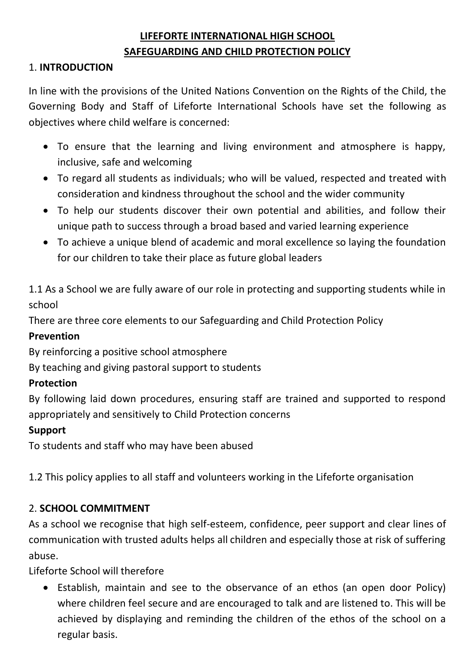# **LIFEFORTE INTERNATIONAL HIGH SCHOOL SAFEGUARDING AND CHILD PROTECTION POLICY**

### 1. **INTRODUCTION**

In line with the provisions of the United Nations Convention on the Rights of the Child, the Governing Body and Staff of Lifeforte International Schools have set the following as objectives where child welfare is concerned:

- To ensure that the learning and living environment and atmosphere is happy, inclusive, safe and welcoming
- To regard all students as individuals; who will be valued, respected and treated with consideration and kindness throughout the school and the wider community
- To help our students discover their own potential and abilities, and follow their unique path to success through a broad based and varied learning experience
- To achieve a unique blend of academic and moral excellence so laying the foundation for our children to take their place as future global leaders

1.1 As a School we are fully aware of our role in protecting and supporting students while in school

There are three core elements to our Safeguarding and Child Protection Policy

### **Prevention**

By reinforcing a positive school atmosphere

By teaching and giving pastoral support to students

### **Protection**

By following laid down procedures, ensuring staff are trained and supported to respond appropriately and sensitively to Child Protection concerns

#### **Support**

To students and staff who may have been abused

1.2 This policy applies to all staff and volunteers working in the Lifeforte organisation

### 2. **SCHOOL COMMITMENT**

As a school we recognise that high self-esteem, confidence, peer support and clear lines of communication with trusted adults helps all children and especially those at risk of suffering abuse.

Lifeforte School will therefore

• Establish, maintain and see to the observance of an ethos (an open door Policy) where children feel secure and are encouraged to talk and are listened to. This will be achieved by displaying and reminding the children of the ethos of the school on a regular basis.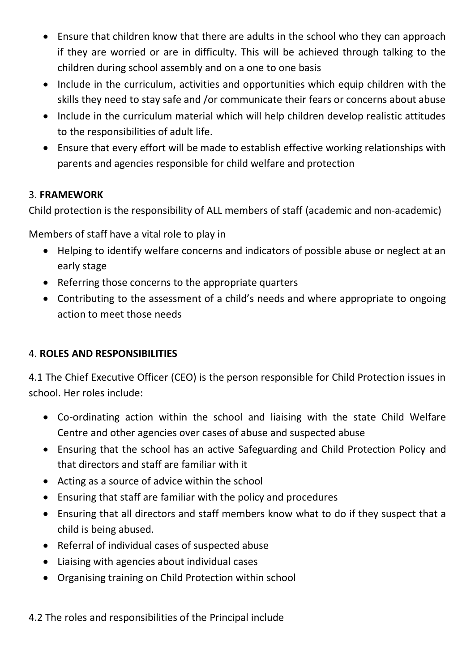- Ensure that children know that there are adults in the school who they can approach if they are worried or are in difficulty. This will be achieved through talking to the children during school assembly and on a one to one basis
- Include in the curriculum, activities and opportunities which equip children with the skills they need to stay safe and /or communicate their fears or concerns about abuse
- Include in the curriculum material which will help children develop realistic attitudes to the responsibilities of adult life.
- Ensure that every effort will be made to establish effective working relationships with parents and agencies responsible for child welfare and protection

### 3. **FRAMEWORK**

Child protection is the responsibility of ALL members of staff (academic and non-academic)

Members of staff have a vital role to play in

- Helping to identify welfare concerns and indicators of possible abuse or neglect at an early stage
- Referring those concerns to the appropriate quarters
- Contributing to the assessment of a child's needs and where appropriate to ongoing action to meet those needs

## 4. **ROLES AND RESPONSIBILITIES**

4.1 The Chief Executive Officer (CEO) is the person responsible for Child Protection issues in school. Her roles include:

- Co-ordinating action within the school and liaising with the state Child Welfare Centre and other agencies over cases of abuse and suspected abuse
- Ensuring that the school has an active Safeguarding and Child Protection Policy and that directors and staff are familiar with it
- Acting as a source of advice within the school
- Ensuring that staff are familiar with the policy and procedures
- Ensuring that all directors and staff members know what to do if they suspect that a child is being abused.
- Referral of individual cases of suspected abuse
- Liaising with agencies about individual cases
- Organising training on Child Protection within school

### 4.2 The roles and responsibilities of the Principal include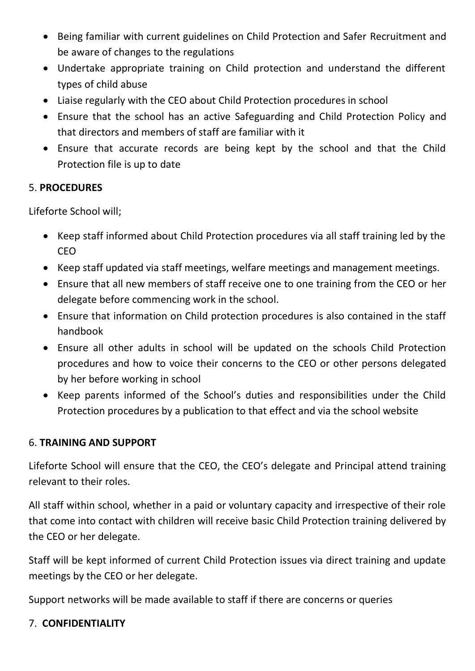- Being familiar with current guidelines on Child Protection and Safer Recruitment and be aware of changes to the regulations
- Undertake appropriate training on Child protection and understand the different types of child abuse
- Liaise regularly with the CEO about Child Protection procedures in school
- Ensure that the school has an active Safeguarding and Child Protection Policy and that directors and members of staff are familiar with it
- Ensure that accurate records are being kept by the school and that the Child Protection file is up to date

### 5. **PROCEDURES**

Lifeforte School will;

- Keep staff informed about Child Protection procedures via all staff training led by the CEO
- Keep staff updated via staff meetings, welfare meetings and management meetings.
- Ensure that all new members of staff receive one to one training from the CEO or her delegate before commencing work in the school.
- Ensure that information on Child protection procedures is also contained in the staff handbook
- Ensure all other adults in school will be updated on the schools Child Protection procedures and how to voice their concerns to the CEO or other persons delegated by her before working in school
- Keep parents informed of the School's duties and responsibilities under the Child Protection procedures by a publication to that effect and via the school website

### 6. **TRAINING AND SUPPORT**

Lifeforte School will ensure that the CEO, the CEO's delegate and Principal attend training relevant to their roles.

All staff within school, whether in a paid or voluntary capacity and irrespective of their role that come into contact with children will receive basic Child Protection training delivered by the CEO or her delegate.

Staff will be kept informed of current Child Protection issues via direct training and update meetings by the CEO or her delegate.

Support networks will be made available to staff if there are concerns or queries

### 7. **CONFIDENTIALITY**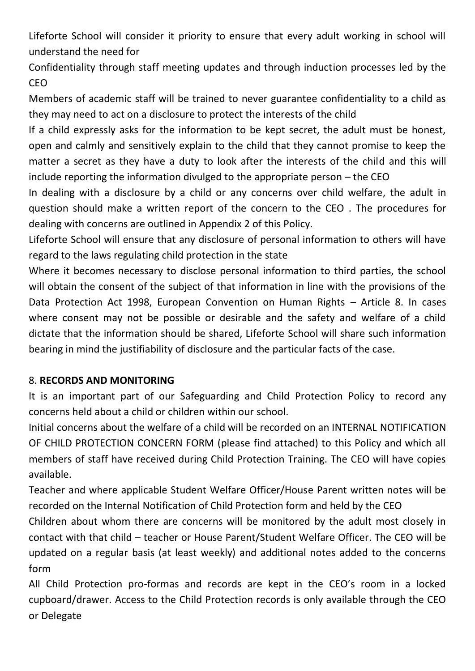Lifeforte School will consider it priority to ensure that every adult working in school will understand the need for

Confidentiality through staff meeting updates and through induction processes led by the CEO

Members of academic staff will be trained to never guarantee confidentiality to a child as they may need to act on a disclosure to protect the interests of the child

If a child expressly asks for the information to be kept secret, the adult must be honest, open and calmly and sensitively explain to the child that they cannot promise to keep the matter a secret as they have a duty to look after the interests of the child and this will include reporting the information divulged to the appropriate person – the CEO

In dealing with a disclosure by a child or any concerns over child welfare, the adult in question should make a written report of the concern to the CEO . The procedures for dealing with concerns are outlined in Appendix 2 of this Policy.

Lifeforte School will ensure that any disclosure of personal information to others will have regard to the laws regulating child protection in the state

Where it becomes necessary to disclose personal information to third parties, the school will obtain the consent of the subject of that information in line with the provisions of the Data Protection Act 1998, European Convention on Human Rights – Article 8. In cases where consent may not be possible or desirable and the safety and welfare of a child dictate that the information should be shared, Lifeforte School will share such information bearing in mind the justifiability of disclosure and the particular facts of the case.

### 8. **RECORDS AND MONITORING**

It is an important part of our Safeguarding and Child Protection Policy to record any concerns held about a child or children within our school.

Initial concerns about the welfare of a child will be recorded on an INTERNAL NOTIFICATION OF CHILD PROTECTION CONCERN FORM (please find attached) to this Policy and which all members of staff have received during Child Protection Training. The CEO will have copies available.

Teacher and where applicable Student Welfare Officer/House Parent written notes will be recorded on the Internal Notification of Child Protection form and held by the CEO

Children about whom there are concerns will be monitored by the adult most closely in contact with that child – teacher or House Parent/Student Welfare Officer. The CEO will be updated on a regular basis (at least weekly) and additional notes added to the concerns form

All Child Protection pro-formas and records are kept in the CEO's room in a locked cupboard/drawer. Access to the Child Protection records is only available through the CEO or Delegate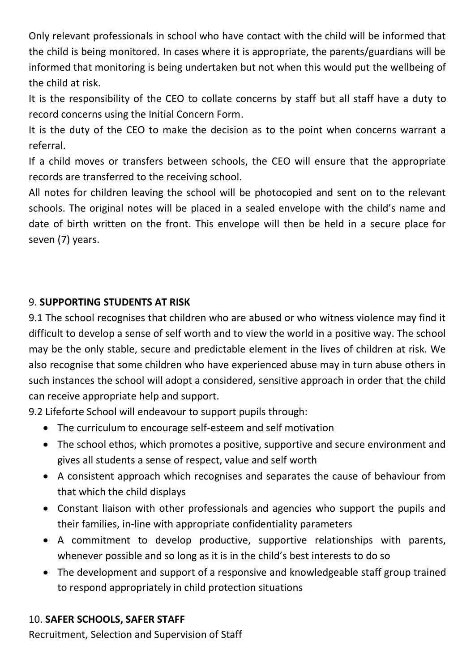Only relevant professionals in school who have contact with the child will be informed that the child is being monitored. In cases where it is appropriate, the parents/guardians will be informed that monitoring is being undertaken but not when this would put the wellbeing of the child at risk.

It is the responsibility of the CEO to collate concerns by staff but all staff have a duty to record concerns using the Initial Concern Form.

It is the duty of the CEO to make the decision as to the point when concerns warrant a referral.

If a child moves or transfers between schools, the CEO will ensure that the appropriate records are transferred to the receiving school.

All notes for children leaving the school will be photocopied and sent on to the relevant schools. The original notes will be placed in a sealed envelope with the child's name and date of birth written on the front. This envelope will then be held in a secure place for seven (7) years.

### 9. **SUPPORTING STUDENTS AT RISK**

9.1 The school recognises that children who are abused or who witness violence may find it difficult to develop a sense of self worth and to view the world in a positive way. The school may be the only stable, secure and predictable element in the lives of children at risk. We also recognise that some children who have experienced abuse may in turn abuse others in such instances the school will adopt a considered, sensitive approach in order that the child can receive appropriate help and support.

9.2 Lifeforte School will endeavour to support pupils through:

- The curriculum to encourage self-esteem and self motivation
- The school ethos, which promotes a positive, supportive and secure environment and gives all students a sense of respect, value and self worth
- A consistent approach which recognises and separates the cause of behaviour from that which the child displays
- Constant liaison with other professionals and agencies who support the pupils and their families, in-line with appropriate confidentiality parameters
- A commitment to develop productive, supportive relationships with parents, whenever possible and so long as it is in the child's best interests to do so
- The development and support of a responsive and knowledgeable staff group trained to respond appropriately in child protection situations

## 10. **SAFER SCHOOLS, SAFER STAFF**

Recruitment, Selection and Supervision of Staff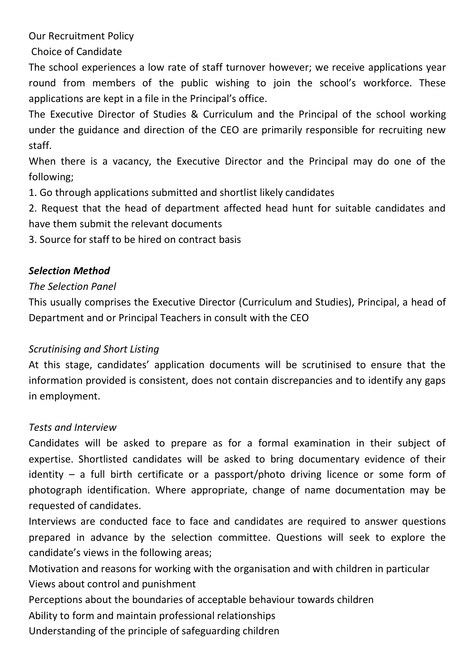Our Recruitment Policy

Choice of Candidate

The school experiences a low rate of staff turnover however; we receive applications year round from members of the public wishing to join the school's workforce. These applications are kept in a file in the Principal's office.

The Executive Director of Studies & Curriculum and the Principal of the school working under the guidance and direction of the CEO are primarily responsible for recruiting new staff.

When there is a vacancy, the Executive Director and the Principal may do one of the following;

1. Go through applications submitted and shortlist likely candidates

2. Request that the head of department affected head hunt for suitable candidates and have them submit the relevant documents

3. Source for staff to be hired on contract basis

### *Selection Method*

### *The Selection Panel*

This usually comprises the Executive Director (Curriculum and Studies), Principal, a head of Department and or Principal Teachers in consult with the CEO

### *Scrutinising and Short Listing*

At this stage, candidates' application documents will be scrutinised to ensure that the information provided is consistent, does not contain discrepancies and to identify any gaps in employment.

### *Tests and Interview*

Candidates will be asked to prepare as for a formal examination in their subject of expertise. Shortlisted candidates will be asked to bring documentary evidence of their identity – a full birth certificate or a passport/photo driving licence or some form of photograph identification. Where appropriate, change of name documentation may be requested of candidates.

Interviews are conducted face to face and candidates are required to answer questions prepared in advance by the selection committee. Questions will seek to explore the candidate's views in the following areas;

Motivation and reasons for working with the organisation and with children in particular

Views about control and punishment

Perceptions about the boundaries of acceptable behaviour towards children

Ability to form and maintain professional relationships

Understanding of the principle of safeguarding children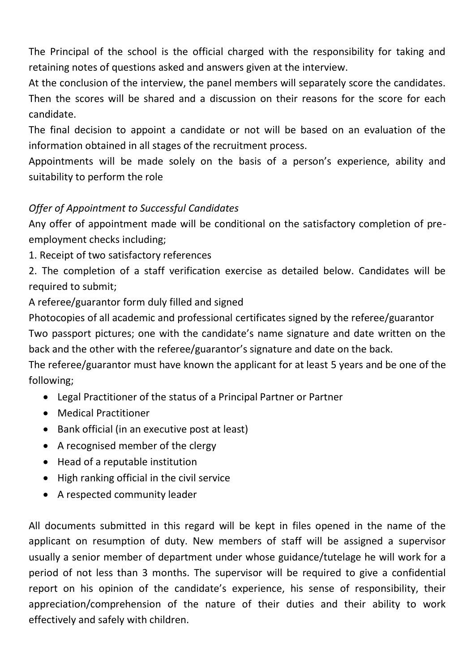The Principal of the school is the official charged with the responsibility for taking and retaining notes of questions asked and answers given at the interview.

At the conclusion of the interview, the panel members will separately score the candidates. Then the scores will be shared and a discussion on their reasons for the score for each candidate.

The final decision to appoint a candidate or not will be based on an evaluation of the information obtained in all stages of the recruitment process.

Appointments will be made solely on the basis of a person's experience, ability and suitability to perform the role

## *Offer of Appointment to Successful Candidates*

Any offer of appointment made will be conditional on the satisfactory completion of preemployment checks including;

1. Receipt of two satisfactory references

2. The completion of a staff verification exercise as detailed below. Candidates will be required to submit;

A referee/guarantor form duly filled and signed

Photocopies of all academic and professional certificates signed by the referee/guarantor Two passport pictures; one with the candidate's name signature and date written on the back and the other with the referee/guarantor's signature and date on the back.

The referee/guarantor must have known the applicant for at least 5 years and be one of the following;

- Legal Practitioner of the status of a Principal Partner or Partner
- Medical Practitioner
- Bank official (in an executive post at least)
- A recognised member of the clergy
- Head of a reputable institution
- High ranking official in the civil service
- A respected community leader

All documents submitted in this regard will be kept in files opened in the name of the applicant on resumption of duty. New members of staff will be assigned a supervisor usually a senior member of department under whose guidance/tutelage he will work for a period of not less than 3 months. The supervisor will be required to give a confidential report on his opinion of the candidate's experience, his sense of responsibility, their appreciation/comprehension of the nature of their duties and their ability to work effectively and safely with children.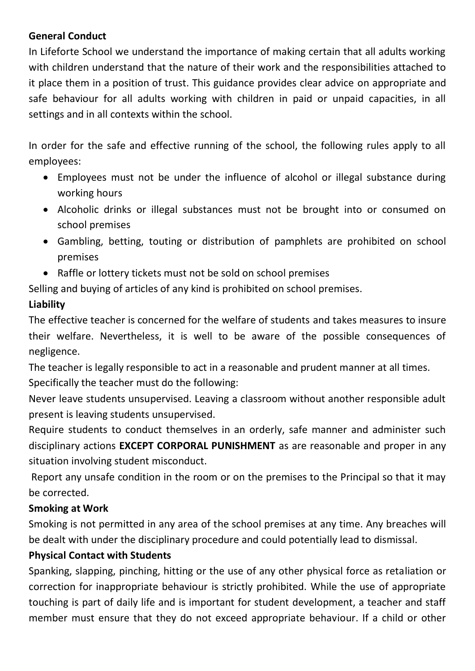### **General Conduct**

In Lifeforte School we understand the importance of making certain that all adults working with children understand that the nature of their work and the responsibilities attached to it place them in a position of trust. This guidance provides clear advice on appropriate and safe behaviour for all adults working with children in paid or unpaid capacities, in all settings and in all contexts within the school.

In order for the safe and effective running of the school, the following rules apply to all employees:

- Employees must not be under the influence of alcohol or illegal substance during working hours
- Alcoholic drinks or illegal substances must not be brought into or consumed on school premises
- Gambling, betting, touting or distribution of pamphlets are prohibited on school premises
- Raffle or lottery tickets must not be sold on school premises

Selling and buying of articles of any kind is prohibited on school premises.

## **Liability**

The effective teacher is concerned for the welfare of students and takes measures to insure their welfare. Nevertheless, it is well to be aware of the possible consequences of negligence.

The teacher is legally responsible to act in a reasonable and prudent manner at all times.

Specifically the teacher must do the following:

Never leave students unsupervised. Leaving a classroom without another responsible adult present is leaving students unsupervised.

Require students to conduct themselves in an orderly, safe manner and administer such disciplinary actions **EXCEPT CORPORAL PUNISHMENT** as are reasonable and proper in any situation involving student misconduct.

Report any unsafe condition in the room or on the premises to the Principal so that it may be corrected.

### **Smoking at Work**

Smoking is not permitted in any area of the school premises at any time. Any breaches will be dealt with under the disciplinary procedure and could potentially lead to dismissal.

### **Physical Contact with Students**

Spanking, slapping, pinching, hitting or the use of any other physical force as retaliation or correction for inappropriate behaviour is strictly prohibited. While the use of appropriate touching is part of daily life and is important for student development, a teacher and staff member must ensure that they do not exceed appropriate behaviour. If a child or other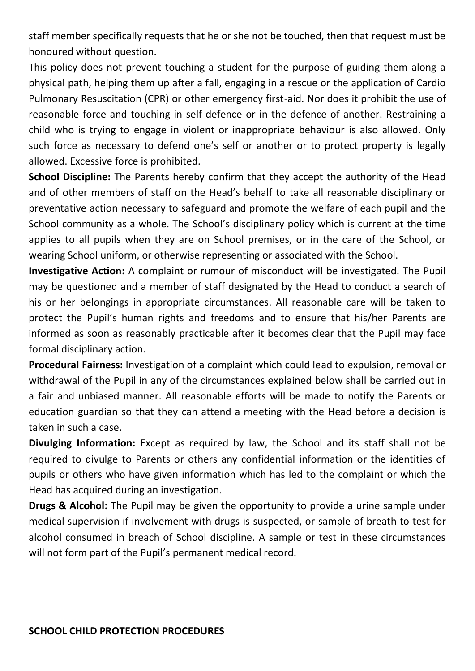staff member specifically requests that he or she not be touched, then that request must be honoured without question.

This policy does not prevent touching a student for the purpose of guiding them along a physical path, helping them up after a fall, engaging in a rescue or the application of Cardio Pulmonary Resuscitation (CPR) or other emergency first-aid. Nor does it prohibit the use of reasonable force and touching in self-defence or in the defence of another. Restraining a child who is trying to engage in violent or inappropriate behaviour is also allowed. Only such force as necessary to defend one's self or another or to protect property is legally allowed. Excessive force is prohibited.

**School Discipline:** The Parents hereby confirm that they accept the authority of the Head and of other members of staff on the Head's behalf to take all reasonable disciplinary or preventative action necessary to safeguard and promote the welfare of each pupil and the School community as a whole. The School's disciplinary policy which is current at the time applies to all pupils when they are on School premises, or in the care of the School, or wearing School uniform, or otherwise representing or associated with the School.

**Investigative Action:** A complaint or rumour of misconduct will be investigated. The Pupil may be questioned and a member of staff designated by the Head to conduct a search of his or her belongings in appropriate circumstances. All reasonable care will be taken to protect the Pupil's human rights and freedoms and to ensure that his/her Parents are informed as soon as reasonably practicable after it becomes clear that the Pupil may face formal disciplinary action.

**Procedural Fairness:** Investigation of a complaint which could lead to expulsion, removal or withdrawal of the Pupil in any of the circumstances explained below shall be carried out in a fair and unbiased manner. All reasonable efforts will be made to notify the Parents or education guardian so that they can attend a meeting with the Head before a decision is taken in such a case.

**Divulging Information:** Except as required by law, the School and its staff shall not be required to divulge to Parents or others any confidential information or the identities of pupils or others who have given information which has led to the complaint or which the Head has acquired during an investigation.

**Drugs & Alcohol:** The Pupil may be given the opportunity to provide a urine sample under medical supervision if involvement with drugs is suspected, or sample of breath to test for alcohol consumed in breach of School discipline. A sample or test in these circumstances will not form part of the Pupil's permanent medical record.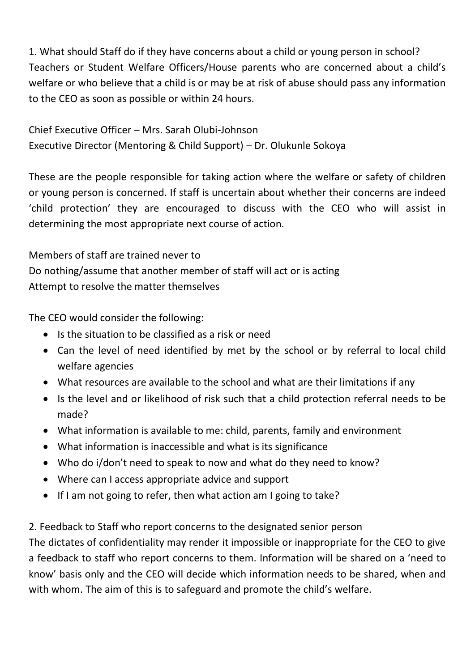1. What should Staff do if they have concerns about a child or young person in school? Teachers or Student Welfare Officers/House parents who are concerned about a child's welfare or who believe that a child is or may be at risk of abuse should pass any information to the CEO as soon as possible or within 24 hours.

Chief Executive Officer – Mrs. Sarah Olubi-Johnson Executive Director (Mentoring & Child Support) – Dr. Olukunle Sokoya

These are the people responsible for taking action where the welfare or safety of children or young person is concerned. If staff is uncertain about whether their concerns are indeed 'child protection' they are encouraged to discuss with the CEO who will assist in determining the most appropriate next course of action.

Members of staff are trained never to Do nothing/assume that another member of staff will act or is acting Attempt to resolve the matter themselves

The CEO would consider the following:

- Is the situation to be classified as a risk or need
- Can the level of need identified by met by the school or by referral to local child welfare agencies
- What resources are available to the school and what are their limitations if any
- Is the level and or likelihood of risk such that a child protection referral needs to be made?
- What information is available to me: child, parents, family and environment
- What information is inaccessible and what is its significance
- Who do i/don't need to speak to now and what do they need to know?
- Where can I access appropriate advice and support
- If I am not going to refer, then what action am I going to take?

2. Feedback to Staff who report concerns to the designated senior person

The dictates of confidentiality may render it impossible or inappropriate for the CEO to give a feedback to staff who report concerns to them. Information will be shared on a 'need to know' basis only and the CEO will decide which information needs to be shared, when and with whom. The aim of this is to safeguard and promote the child's welfare.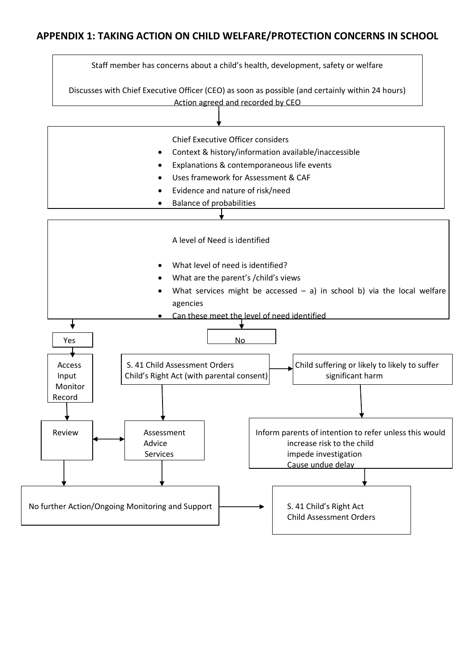#### **APPENDIX 1: TAKING ACTION ON CHILD WELFARE/PROTECTION CONCERNS IN SCHOOL**